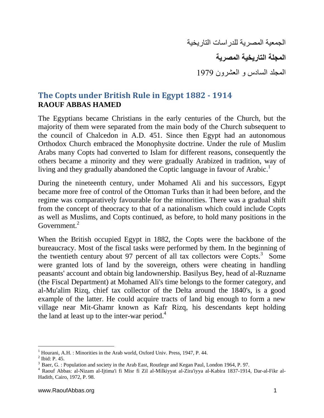الجمعية المصرية للدراسات التاريخية **المجلة التاريخية المصرية** المجلد السادس و العشرون 1979

## **The Copts under British Rule in Egypt 1882 - 1914 RAOUF ABBAS HAMED**

The Egyptians became Christians in the early centuries of the Church, but the majority of them were separated from the main body of the Church subsequent to the council of Chalcedon in A.D. 451. Since then Egypt had an autonomous Orthodox Church embraced the Monophysite doctrine. Under the rule of Muslim Arabs many Copts had converted to Islam for different reasons, consequently the others became a minority and they were gradually Arabized in tradition, way of living and they gradually abandoned the Coptic language in favour of Arabic.<sup>1</sup>

During the nineteenth century, under Mohamed Ali and his successors, Egypt became more free of control of the Ottoman Turks than it had been before, and the regime was comparatively favourable for the minorities. There was a gradual shift from the concept of theocracy to that of a nationalism which could include Copts as well as Muslims, and Copts continued, as before, to hold many positions in the Government.<sup>2</sup>

When the British occupied Egypt in 1882, the Copts were the backbone of the bureaucracy. Most of the fiscal tasks were performed by them. In the beginning of the twentieth century about 97 percent of all tax collectors were  $C$ opts.<sup>3</sup> Some were granted lots of land by the sovereign, others were cheating in handling peasants' account and obtain big landownership. Basilyus Bey, head of al-Ruzname (the Fiscal Department) at Mohamed Ali's time belongs to the former category, and al-Mu'alim Rizq, chief tax collector of the Delta around the 1840's, is a good example of the latter. He could acquire tracts of land big enough to form a new village near Mit-Ghamr known as Kafr Rizq, his descendants kept holding the land at least up to the inter-war period.<sup>4</sup>

l <sup>1</sup> Hourani, A.H. : Minorities in the Arab world, Oxford Univ. Press, 1947, P. 44.

 $2$  Ibid: P. 45.

<sup>&</sup>lt;sup>3</sup> Baer, G. : Population and society in the Arab East, Routlege and Kegan Paul, London 1964, P. 97.

<sup>4</sup> Raouf Abbas: al-Nizam al-Ijtima'i fi Misr fi Zil al-Milkiyyat al-Zira'iyya al-Kabira 1837-1914, Dar-al-Fikr al-Hadith, Cairo, 1972, P. 98.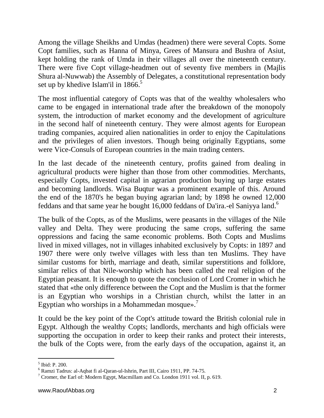Among the village Sheikhs and Umdas (headmen) there were several Copts. Some Copt families, such as Hanna of Minya, Grees of Mansura and Bushra of Asiut, kept holding the rank of Umda in their villages all over the nineteenth century. There were five Copt village-headmen out of seventy five members in (Majlis Shura al-Nuwwab) the Assembly of Delegates, a constitutional representation body set up by khedive Islam'il in 1866.<sup>5</sup>

The most influential category of Copts was that of the wealthy wholesalers who came to be engaged in international trade after the breakdown of the monopoly system, the introduction of market economy and the development of agriculture in the second half of nineteenth century. They were almost agents for European trading companies, acquired alien nationalities in order to enjoy the Capitulations and the privileges of alien investors. Though being originally Egyptians, some were Vice-Consuls of European countries in the main trading centers.

In the last decade of the nineteenth century, profits gained from dealing in agricultural products were higher than those from other commodities. Merchants, especially Copts, invested capital in agrarian production buying up large estates and becoming landlords. Wisa Buqtur was a prominent example of this. Around the end of the 1870's he began buying agrarian land; by 1898 he owned 12,000 feddans and that same year he bought 16,000 feddans of Da'ira.-el Saniyya land.<sup>6</sup>

The bulk of the Copts, as of the Muslims, were peasants in the villages of the Nile valley and Delta. They were producing the same crops, suffering the same oppressions and facing the same economic problems. Both Copts and Muslims lived in mixed villages, not in villages inhabited exclusively by Copts: in 1897 and 1907 there were only twelve villages with less than ten Muslims. They have similar customs for birth, marriage and death, similar superstitions and folklore, similar relics of that Nile-worship which has been called the real religion of the Egyptian peasant. It is enough to quote the conclusion of Lord Cromer in which he stated that «the only difference between the Copt and the Muslim is that the former is an Egyptian who worships in a Christian church, whilst the latter in an Egyptian who worships in a Mohammedan mosque».<sup>7</sup>

It could be the key point of the Copt's attitude toward the British colonial rule in Egypt. Although the wealthy Copts; landlords, merchants and high officials were supporting the occupation in order to keep their ranks and protect their interests, the bulk of the Copts were, from the early days of the occupation, against it, an

 $\overline{a}$ 5 Ibid: P. 200.

<sup>6</sup> Ramzi Tadrus: al-Aqbat fi al-Qaran-ul-Ishrin, Part III, Cairo 1911, PP. 74-75.

<sup>7</sup> Cromer, the Earl of: Modern Egypt, Macmillam and Co. London 1911 vol. II, p. 619.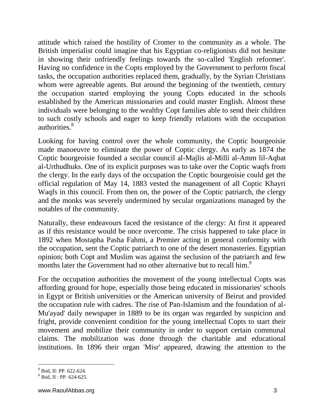attitude which raised the hostility of Cromer to the community as a whole. The British imperialist could imagine that his Egyptian co-religionists did not hesitate in showing their unfriendly feelings towards the so-called 'English reformer'. Having no confidence in the Copts employed by the Government to perform fiscal tasks, the occupation authorities replaced them, gradually, by the Syrian Christians whom were agreeable agents. But around the beginning of the twentieth, century the occupation started employing the young Copts educated in the schools established by the American missionaries and could master English. Almost these individuals were belonging to the wealthy Copt families able to send their children to such costly schools and eager to keep friendly relations with the occupation authorities. 8

Looking for having control over the whole community, the Coptic bourgeoisie made manoeuvre to eliminate the power of Coptic clergy. As early as 1874 the Coptic bourgeoisie founded a secular council al-Majlis al-Milli al-Amm lil-Aqbat al-Urthudhuks. One of its explicit purposes was to take over the Coptic waqfs from the clergy. In the early days of the occupation the Coptic bourgeoisie could get the official regulation of May 14, 1883 vested the management of all Coptic Khayri Waqfs in this council. From then on, the power of the Coptic patriarch, the clergy and the monks was severely undermined by secular organizations managed by the notables of the community.

Naturally, these endeavours faced the resistance of the clergy: At first it appeared as if this resistance would be once overcome. The crisis happened to take place in 1892 when Mostapha Pasha Fahmi, a Premier acting in general conformity with the occupation, sent the Coptic patriarch to one of the desert monasteries. Egyptian opinion; both Copt and Muslim was against the seclusion of the patriarch and few months later the Government had no other alternative but to recall him.<sup>9</sup>

For the occupation authorities the movement of the young intellectual Copts was affording ground for hope, especially those being educated in missionaries' schools in Egypt or British universities or the American university of Beirut and provided the occupation rule with cadres. The rise of Pan-Islamism and the foundation of al-Mu'ayad' daily newspaper in 1889 to be its organ was regarded by suspicion and fright, provide convenient condition for the young intellectual Copts to start their movement and mobilize their community in order to support certain communal claims. The mobilization was done through the charitable and educational institutions. In 1896 their organ 'Misr' appeared, drawing the attention to the

l

<sup>8</sup> Ibid, II: PP. 622-624.

 $^{9}$  Ibid, II : PP. 624-625.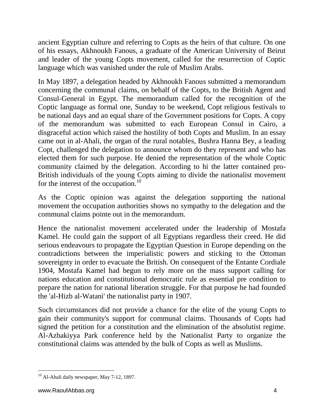ancient Egyptian culture and referring to Copts as the heirs of that culture. On one of his essays, Akhnoukh Fanous, a graduate of the American University of Beirut and leader of the young Copts movement, called for the resurrection of Coptic language which was vanished under the rule of Muslim Arabs.

In May 1897, a delegation headed by Akhnoukh Fanous submitted a memorandum concerning the communal claims, on behalf of the Copts, to the British Agent and Consul-General in Egypt. The memorandum called for the recognition of the Coptic language as formal one, Sunday to be weekend, Copt religious festivals to be national days and an equal share of the Government positions for Copts. A copy of the memorandum was submitted to each European Consul in Cairo, a disgraceful action which raised the hostility of both Copts and Muslim. In an essay came out in al-Ahali, the organ of the rural notables, Bushra Hanna Bey, a leading Copt, challenged the delegation to announce whom do they represent and who has elected them for such purpose. He denied the representation of the whole Coptic community claimed by the delegation. According to hi the latter contained pro-British individuals of the young Copts aiming to divide the nationalist movement for the interest of the occupation.<sup>10</sup>

As the Coptic opinion was against the delegation supporting the national movement the occupation authorities shows no sympathy to the delegation and the communal claims pointe out in the memorandum.

Hence the nationalist movement accelerated under the leadership of Mostafa Kamel. He could gain the support of all Egyptians regardless their creed. He did serious endeavours to propagate the Egyptian Question in Europe depending on the contradictions between the imperialistic powers and sticking to the Ottoman sovereignty in order to evacuate the British. On consequent of the Entante Cordiale 1904, Mostafa Kamel had begun to rely more on the mass support calling for nations education and constitutional democratic rule as essential pre condition to prepare the nation for national liberation struggle. For that purpose he had founded the 'al-Hizb al-Watani' the nationalist party in 1907.

Such circumstances did not provide a chance for the elite of the young Copts to gain their community's support for communal claims. Thousands of Copts had signed the petition for a constitution and the elimination of the absolutist regime. Al-Azbakiyya Park conference held by the Nationalist Party to organize the constitutional claims was attended by the bulk of Copts as well as Muslims.

 $\overline{a}$  $10$  Al-Ahali daily newspaper, May 7-12, 1897.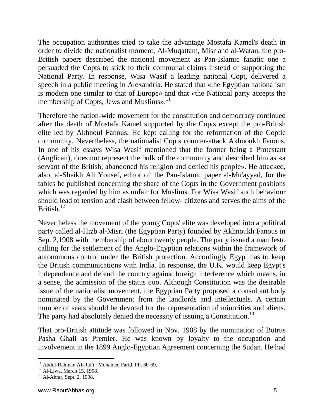The occupation authorities tried to take the advantage Mostafa Kamel's death in order to divide the nationalist moment, Al-Muqattam, Misr and al-Watan, the pro-British papers described the national movement as Pan-Islamic fanatic one a persuaded the Copts to stick to their communal claims instead of supporting the National Party. In response, Wisa Wasif a leading national Copt, delivered a speech in a public meeting in Alexandria. He stated that «the Egyptian nationalism is modern one similar to that of Europe» and that «the National party accepts the membership of Copts, Jews and Muslims».<sup>11</sup>

Therefore the nation-wide movement for the constitution and democracy continued after the death of Mostafa Kamel supported by the Copts except the pro-British elite led by Akhnoul Fanous. He kept calling for the reformation of the Coptic community. Nevertheless, the nationalist Copts counter-attack Akhnoukh Fanous. In one of his essays Wisa Wasif mentioned that the former being a Protestant (Anglican), does not represent the bulk of the community and described him as «a servant of the British, abandoned his religion and denied his people». He attacked, also, al-Sheikh Ali Yousef, editor of' the Pan-Islamic paper al-Mu'ayyad, for the tables he published concerning the share of the Copts in the Government positions which was regarded by him as unfair for Muslims. For Wisa Wasif such behaviour should lead to tension and clash between fellow- citizens and serves the aims of the British. $12$ 

Nevertheless the movement of the young Copts' elite was developed into a political party called al-Hizb al-Misri (the Egyptian Party) founded by Akhnoukh Fanous in Sep. 2,1908 with membership of about twenty people. The party issued a manifesto calling for the settlement of the Anglo-Egyptian relations within the framework of autonomous control under the British protection. Accordingly Egypt has to keep the British communications with India. In response, the U.K. would keep Egypt's independence and defend the country against foreign interference which means, in a sense, the admission of the status quo. Although Constitution was the desirable issue of the nationalist movement, the Egyptian Party proposed a consultant body nominated by the Government from the landlords and intellectuals. A certain number of seats should be devoted for the representation of minorities and aliens. The party had absolutely denied the necessity of issuing a Constitution.<sup>13</sup>

That pro-British attitude was followed in Nov. 1908 by the nomination of Butrus Pasha Ghali as Premier. He was known by loyalty to the occupation and involvement in the 1899 Anglo-Egyptian Agreement concerning the Sudan. He had

 $\overline{a}$ <sup>11</sup> Abdul-Rahman AI-Raf'i : Mohamed Farid, PP. 60-69.

 $12$  Al-Liwa, March 15, 1908.

<sup>&</sup>lt;sup>13</sup> Al-Ahrar, Sept. 2, 1908.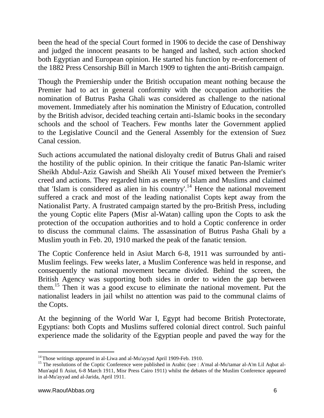been the head of the special Court formed in 1906 to decide the case of Denshiway and judged the innocent peasants to be hanged and lashed, such action shocked both Egyptian and European opinion. He started his function by re-enforcement of the 1882 Press Censorship Bill in March 1909 to tighten the anti-British campaign.

Though the Premiership under the British occupation meant nothing because the Premier had to act in general conformity with the occupation authorities the nomination of Butrus Pasha Ghali was considered as challenge to the national movement. Immediately after his nomination the Ministry of Education, controlled by the British advisor, decided teaching certain anti-Islamic books in the secondary schools and the school of Teachers. Few months later the Government applied to the Legislative Council and the General Assembly for the extension of Suez Canal cession.

Such actions accumulated the national disloyalty credit of Butrus Ghali and raised the hostility of the public opinion. In their critique the fanatic Pan-Islamic writer Sheikh Abdul-Aziz Gawish and Sheikh Ali Yousef mixed between the Premier's creed and actions. They regarded him as enemy of Islam and Muslims and claimed that 'Islam is considered as alien in his country'. <sup>14</sup> Hence the national movement suffered a crack and most of the leading nationalist Copts kept away from the Nationalist Party. A frustrated campaign started by the pro-British Press, including the young Coptic elite Papers (Misr al-Watan) calling upon the Copts to ask the protection of the occupation authorities and to hold a Coptic conference in order to discuss the communal claims. The assassination of Butrus Pasha Ghali by a Muslim youth in Feb. 20, 1910 marked the peak of the fanatic tension.

The Coptic Conference held in Asiut March 6-8, 1911 was surrounded by anti-Muslim feelings. Few weeks later, a Muslim Conference was held in response, and consequently the national movement became divided. Behind the screen, the British Agency was supporting both sides in order to widen the gap between them. <sup>15</sup> Then it was a good excuse to eliminate the national movement. Put the nationalist leaders in jail whilst no attention was paid to the communal claims of the Copts.

At the beginning of the World War I, Egypt had become British Protectorate, Egyptians: both Copts and Muslims suffered colonial direct control. Such painful experience made the solidarity of the Egyptian people and paved the way for the

 $\overline{a}$ <sup>14</sup> Those writings appeared in al-Liwa and al-Mu'ayyad April 1909-Feb. 1910.

<sup>&</sup>lt;sup>15</sup> The resolutions of the Coptic Conference were published in Arabic (see : A'mal al-Mu'tamar al-A'm Lil Aqbat al-Mun'aqid fi Asiut, 6-8 March 1911, Misr Press Cairo 1911) whilst the debates of the Muslim Conference appeared in al-Mu'ayyad and al-Jarida, April 1911.